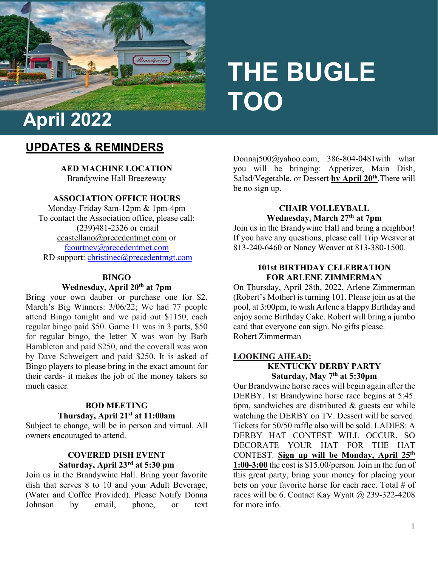

# **THE BUGLE TOO**

# **UPDATES & REMINDERS**

**AED MACHINE LOCATION**  Brandywine Hall Breezeway

## **ASSOCIATION OFFICE HOURS**

Monday-Friday 8am-12pm & 1pm-4pm To contact the Association office, please call: (239)481-2326 or email [ccastellano@precedentmgt.com](mailto:ccastellano@precedentmgt.com) or [fcourtney@precedentmgt.com](mailto:fcourtney@precedentmgt.com) RD support: [christinec@precedentmgt.com](mailto:christinec@precedentmgt.com)

#### **BINGO**

#### **Wednesday, April 20th at 7pm**

Bring your own dauber or purchase one for \$2. March's Big Winners: 3/06/22; We had 77 people attend Bingo tonight and we paid out \$1150, each regular bingo paid \$50. Game 11 was in 3 parts, \$50 for regular bingo, the letter X was won by Barb Hambleton and paid \$250, and the coverall was won by Dave Schweigert and paid \$250. It is asked of Bingo players to please bring in the exact amount for their cards- it makes the job of the money takers so much easier.

#### **BOD MEETING Thursday, April 21st at 11:00am**

Subject to change, will be in person and virtual. All owners encouraged to attend.

# **COVERED DISH EVENT Saturday, April 23rd at 5:30 pm**

Join us in the Brandywine Hall. Bring your favorite dish that serves 8 to 10 and your Adult Beverage, (Water and Coffee Provided). Please Notify Donna Johnson by email, phone, or text

Donnaj500@yahoo.com, 386-804-0481with what you will be bringing: Appetizer, Main Dish, Salad/Vegetable, or Dessert **by April 20th**.There will be no sign up.

#### **CHAIR VOLLEYBALL Wednesday, March 27th at 7pm**

Join us in the Brandywine Hall and bring a neighbor! If you have any questions, please call Trip Weaver at 813-240-6460 or Nancy Weaver at 813-380-1500.

#### **101st BIRTHDAY CELEBRATION FOR ARLENE ZIMMERMAN**

On Thursday, April 28th, 2022, Arlene Zimmerman (Robert's Mother) is turning 101. Please join us at the pool, at 3:00pm, to wish Arlene a Happy Birthday and enjoy some Birthday Cake. Robert will bring a jumbo card that everyone can sign. No gifts please. Robert Zimmerman

## **LOOKING AHEAD:**

**KENTUCKY DERBY PARTY Saturday, May 7th at 5:30pm**

Our Brandywine horse races will begin again after the DERBY. 1st Brandywine horse race begins at 5:45. 6pm, sandwiches are distributed & guests eat while watching the DERBY on TV. Dessert will be served. Tickets for 50/50 raffle also will be sold. LADIES: A DERBY HAT CONTEST WILL OCCUR, SO DECORATE YOUR HAT FOR THE HAT CONTEST. **Sign up will be Monday, April 25th 1:00-3:00** the cost is \$15.00/person. Join in the fun of this great party, bring your money for placing your bets on your favorite horse for each race. Total # of races will be 6. Contact Kay Wyatt  $\omega$  239-322-4208 for more info.